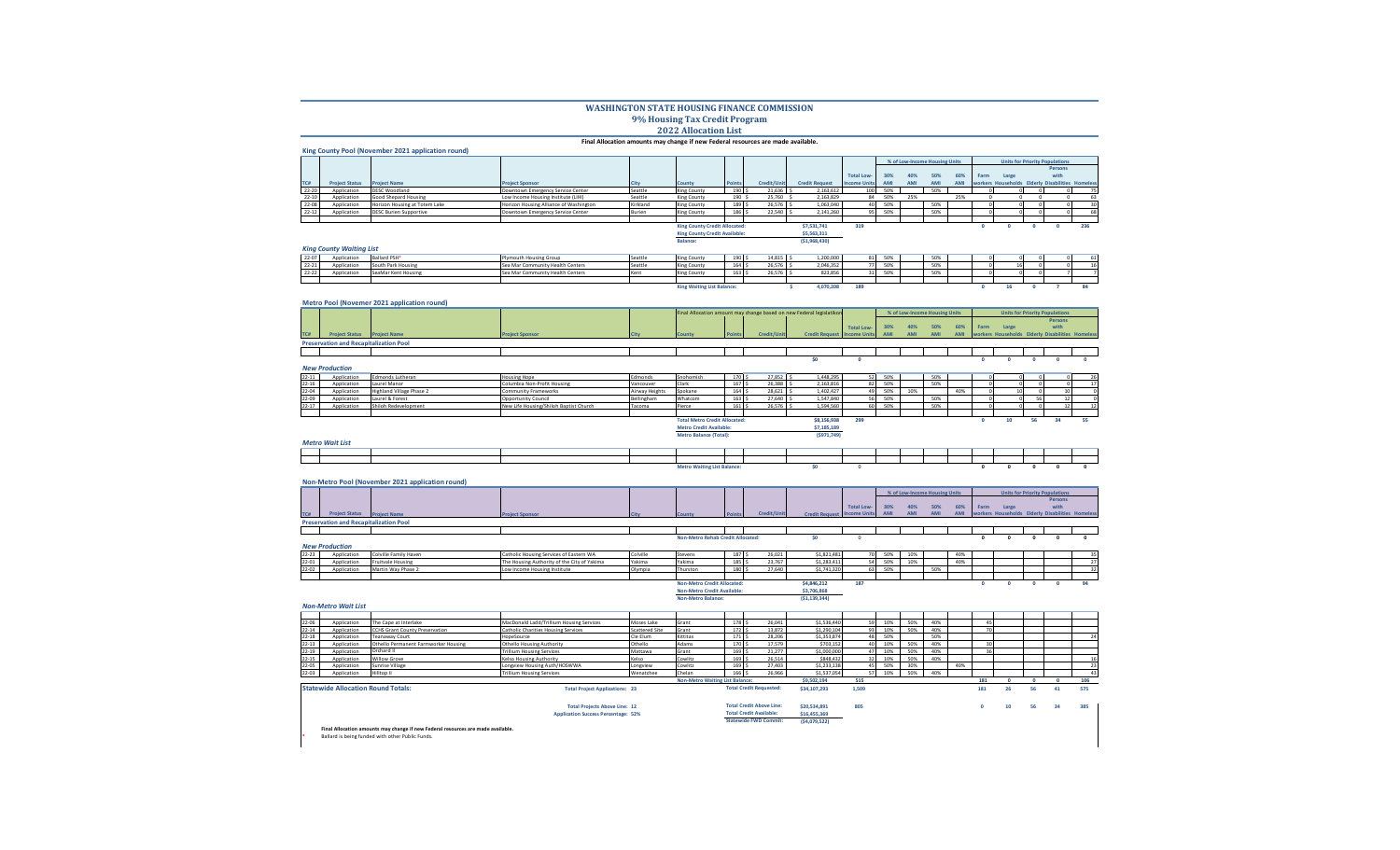## **WASHINGTON STATE HOUSING FINANCE COMMISSION 9% Housing Tax Credit Program 2022 Allocation List**

## **Final Allocation amounts may change if new Federal resources are made available.**

|           |                       | King County Pool (November 2021 application round) |                                        |          |                                      |                  |             |                       |                     |     |     |                               |     |      |                                                  |         |     |
|-----------|-----------------------|----------------------------------------------------|----------------------------------------|----------|--------------------------------------|------------------|-------------|-----------------------|---------------------|-----|-----|-------------------------------|-----|------|--------------------------------------------------|---------|-----|
|           |                       |                                                    |                                        |          |                                      |                  |             |                       |                     |     |     | % of Low-Income Housing Units |     |      | <b>Units for Priority Populations</b>            |         |     |
|           |                       |                                                    |                                        |          |                                      |                  |             |                       |                     |     |     |                               |     |      |                                                  | Persons |     |
|           |                       |                                                    |                                        |          |                                      |                  |             |                       | <b>Total Low-</b>   | 30% | 40% | 50%                           | 60% | Farm | Large                                            | with    |     |
| TC#       | <b>Project Status</b> | <b>Project Name</b>                                | <b>Project Sponsor</b>                 |          | <b>County</b>                        | <b>Points</b>    | Credit/Unit | <b>Credit Request</b> | <b>Income Units</b> | AMI | AMI | AMI                           | AMI |      | workers Households Elderly Disabilities Homeless |         |     |
| 22-20     | Application           | <b>DESC Woodland</b>                               | Downtown Emergency Service Center      | Seattle  | King County                          | 190 <sup>2</sup> | 21.636      | 2.163.612             |                     | 50% |     | 50%                           |     |      |                                                  |         |     |
| $22 - 10$ | Application           | Good Shepard Housing                               | Low Income Housing Institute (LIHI)    | Seattle  | King County                          | 190              | 25.760      | 2.163.829             | 84                  | 50% | 25% |                               | 25% |      |                                                  |         | 63  |
| 22-08     | Application           | Horizon Housing at Totem Lake                      | Horizon Housing Alliance of Washington | Kirkland | King County                          | 189 S            | 26,576      | 1.063.040             |                     | 50% |     | 50%                           |     |      |                                                  |         |     |
| $22 - 12$ | Application           | <b>DESC Burien Supportive</b>                      | Downtown Emergency Service Center      | Burien   | King County                          | 186 S            | 22,540      | 2,141,260             | 95                  | 50% |     | 50%                           |     |      |                                                  |         | 68  |
|           |                       |                                                    |                                        |          |                                      |                  |             |                       |                     |     |     |                               |     |      |                                                  |         |     |
|           |                       |                                                    |                                        |          | <b>King County Credit Allocated:</b> |                  |             | \$7,531,741           | 319                 |     |     |                               |     |      |                                                  |         | 236 |
|           |                       |                                                    |                                        |          | <b>King County Credit Available:</b> |                  |             | \$5,563,311           |                     |     |     |                               |     |      |                                                  |         |     |
|           |                       |                                                    |                                        |          | Balance:                             |                  |             | (51,968,430)          |                     |     |     |                               |     |      |                                                  |         |     |

## *King County Waiting List*

**Metro Pool (Novemer 2021 application round)**

| 22-07     | Application | Ballard PSH <sup>®</sup> | <b>Pouth Housing Group</b>       | Seattl     | King County                       | 190              | 14.815 | 1.200.000 | 81  | FORE.           | FAM.        |  |  |  |
|-----------|-------------|--------------------------|----------------------------------|------------|-----------------------------------|------------------|--------|-----------|-----|-----------------|-------------|--|--|--|
| $22 - 21$ | Application | Juth Park Housing        | Sea Mar Community Health Centers | Seatti     | King County                       | 164              | 26.57  | 2.046.352 |     | CO <sub>0</sub> | CON<br>---  |  |  |  |
| $22 - 22$ | Annlication | SeaMar Kent Housing      | Sea Mar Community Health Centers | <b>Ken</b> | King County                       | 163 <sup>°</sup> | 26.576 | 823.856   | 21  | FORE.           | <b>FORE</b> |  |  |  |
|           |             |                          |                                  |            |                                   |                  |        |           |     |                 |             |  |  |  |
|           |             |                          |                                  |            | <b>King Waiting List Balance:</b> |                  |        | 4.070.208 | 189 |                 |             |  |  |  |

|           |                                               |                                 |                                        |                |                                      |                  |             | Final Allocation amount may change based on new Federal legislatikon |                   |     |     | % of Low-Income Housing Units |     |      |                                                  |    | <b>Units for Priority Populations</b> |    |
|-----------|-----------------------------------------------|---------------------------------|----------------------------------------|----------------|--------------------------------------|------------------|-------------|----------------------------------------------------------------------|-------------------|-----|-----|-------------------------------|-----|------|--------------------------------------------------|----|---------------------------------------|----|
|           |                                               |                                 |                                        |                |                                      |                  |             |                                                                      |                   |     |     |                               |     |      |                                                  |    | Persons                               |    |
|           |                                               |                                 |                                        |                |                                      |                  |             |                                                                      | <b>Total Low-</b> | 30% | 40% | 50%                           | 60% | Farm | Large                                            |    | with                                  |    |
| TC#       | <b>Project Status Project Name</b>            |                                 | <b>Project Sponsor</b>                 |                | County                               | <b>Points</b>    | Credit/Unit | <b>Credit Request Income Units</b>                                   |                   | AMI | AMI |                               | AMI |      | workers Households Elderly Disabilities Homeless |    |                                       |    |
|           | <b>Preservation and Recapitalization Pool</b> |                                 |                                        |                |                                      |                  |             |                                                                      |                   |     |     |                               |     |      |                                                  |    |                                       |    |
|           |                                               |                                 |                                        |                |                                      |                  |             |                                                                      |                   |     |     |                               |     |      |                                                  |    |                                       |    |
|           |                                               |                                 |                                        |                |                                      |                  |             | \$0                                                                  |                   |     |     |                               |     |      |                                                  |    |                                       |    |
|           | <b>New Production</b>                         |                                 |                                        |                |                                      |                  |             |                                                                      |                   |     |     |                               |     |      |                                                  |    |                                       |    |
| $22 - 11$ | Application                                   | Edmonds Lutheran                | <b>Housing Hope</b>                    | Edmonds        | Snohomish                            | 170S             | $27,852$ \$ | 1,448,295                                                            | 52                | 50% |     | 50%                           |     |      |                                                  |    |                                       | 26 |
| $22 - 16$ | Application                                   | Laurel Manor                    | Columbia Non-Profit Housing            | Vancouver      | Clark                                | 167 <sup>°</sup> | $26,388$ \$ | 2,163,816                                                            | 82                | 50% |     | 50%                           |     |      |                                                  |    |                                       |    |
| 22-04     | Application                                   | <b>Highland Village Phase 2</b> | Community Frameworks                   | Airway Heights | Spokane                              | 164 \$           | $28,621$ \$ | 1,402,427                                                            | 49                | 50% | 10% |                               | 40% |      | 10                                               |    |                                       |    |
| $22 - 09$ | Application                                   | Laurel & Forest                 | <b>Opportunity Council</b>             | Bellingham     | Whatcom                              | 163S             | 27,640 \$   | 1,547,840                                                            | 56                | 50% |     | 50%                           |     |      |                                                  |    |                                       |    |
| $22 - 17$ | Application                                   | Shiloh Redevelopment            | New Life Housing/Shiloh Baptist Church | Tacoma         | Pierce                               | 161 <sup>5</sup> | 26,576 \$   | 1,594,560                                                            | 60                | 50% |     | 50%                           |     |      |                                                  |    |                                       | 12 |
|           |                                               |                                 |                                        |                |                                      |                  |             |                                                                      |                   |     |     |                               |     |      |                                                  |    |                                       |    |
|           |                                               |                                 |                                        |                | <b>Total Metro Credit Allocated:</b> |                  |             | \$8,156,938                                                          | 299               |     |     |                               |     | U    | 10                                               | 56 | 34                                    | 55 |
|           |                                               |                                 |                                        |                | <b>Metro Credit Available:</b>       |                  |             | \$7,185,189                                                          |                   |     |     |                               |     |      |                                                  |    |                                       |    |
|           |                                               |                                 |                                        |                | <b>Metro Balance (Total):</b>        |                  |             | (5971, 749)                                                          |                   |     |     |                               |     |      |                                                  |    |                                       |    |
|           | <b>Metro Wait List</b>                        |                                 |                                        |                |                                      |                  |             |                                                                      |                   |     |     |                               |     |      |                                                  |    |                                       |    |
|           |                                               |                                 |                                        |                |                                      |                  |             |                                                                      |                   |     |     |                               |     |      |                                                  |    |                                       |    |
|           |                                               |                                 |                                        |                |                                      |                  |             |                                                                      |                   |     |     |                               |     |      |                                                  |    |                                       |    |

|  |                                                  |  | <b>The Maiting List Balance:</b> |  |  |  |  |  |  |  |
|--|--------------------------------------------------|--|----------------------------------|--|--|--|--|--|--|--|
|  |                                                  |  |                                  |  |  |  |  |  |  |  |
|  | Non-Metro Pool (November 2021 application round) |  |                                  |  |  |  |  |  |  |  |

|                                               |                     |                      |  |        |               |             |                                                                                              |                                 | % of Low-Income Housing Units |  |  | <b>Units for Priority Populations</b> |       |  |         |  |
|-----------------------------------------------|---------------------|----------------------|--|--------|---------------|-------------|----------------------------------------------------------------------------------------------|---------------------------------|-------------------------------|--|--|---------------------------------------|-------|--|---------|--|
|                                               |                     |                      |  |        |               |             |                                                                                              |                                 |                               |  |  |                                       |       |  | Persons |  |
|                                               |                     |                      |  |        |               |             |                                                                                              | Total Low- 30% 40% 50% 60% Farm |                               |  |  |                                       | Large |  | with    |  |
| roiect Staty                                  | <b>Project Name</b> | <b>Project Spons</b> |  | County | <b>Points</b> | Credit/Unit | Credit Request Income Units AMI AMI AMI AMI Workers Households Elderly Disabilities Homeless |                                 |                               |  |  |                                       |       |  |         |  |
| <b>Preservation and Recapitalization Pool</b> |                     |                      |  |        |               |             |                                                                                              |                                 |                               |  |  |                                       |       |  |         |  |
|                                               |                     |                      |  |        |               |             |                                                                                              |                                 |                               |  |  |                                       |       |  |         |  |

|       |                       |                              |                                         |          | <b>Non-Metro Rehab Credit Allocated:</b> |     |        |                 |                               |                                |                         |  |  |  |
|-------|-----------------------|------------------------------|-----------------------------------------|----------|------------------------------------------|-----|--------|-----------------|-------------------------------|--------------------------------|-------------------------|--|--|--|
|       | <b>New Production</b> |                              |                                         |          |                                          |     |        |                 |                               |                                |                         |  |  |  |
| 22-23 | Application           | <b>Colville Family Haven</b> | Catholic Housing Services of Eastern WA | Colville | Stevens                                  | 187 | 26.021 | .<br>S1.821.481 | FO <sub>0</sub><br><b>50%</b> | 100 <sub>1</sub><br><b>10%</b> | 100 <sub>1</sub><br>4U% |  |  |  |

22-01 Application Fruitvale Housing The Housing Authority of the City of Yakima Yakima Yakima 185 \$ 23,767 \$1,283,411 54 50% 10% 40% 27 22-02 Application Martin Way Phase 2 Low Income Housing Institute Diverpia Thurston | 180 \$ 27,640 51,741,320 63 50% | 50% | | | | | | 32 **Non-Metro Credit Allocated: \$4,846,212 187 0 0 0 0 94**

**Total Projects Above Line: 12 \$20,534,891 805 0 10 56 34 385**

**Non-Metro Credit Available: \$3,706,868 Non-Metro Balance: (\$1,139,344)**

|           | <b>Non-Metro Wait List</b>                |                                       |                                          |                       |                                        |       |                                |              |                 |     |     |     |     |     |    |    |    |  |
|-----------|-------------------------------------------|---------------------------------------|------------------------------------------|-----------------------|----------------------------------------|-------|--------------------------------|--------------|-----------------|-----|-----|-----|-----|-----|----|----|----|--|
|           |                                           |                                       |                                          |                       |                                        |       |                                |              |                 |     |     |     |     |     |    |    |    |  |
| 22-06     | Application                               | The Cape at Interlake                 | MacDonald Ladd/Trillium Housing Services | Moses Lake            | Grant                                  | 178 9 | 26.041                         | \$1,536,440  | 59              | 10% | 50% | 40% |     |     |    |    |    |  |
| $22 - 14$ | Application                               | <b>CCHS Grant County Preservation</b> | Catholic Charities Housing Services      | <b>Scattered Site</b> | Grant                                  | 172 S | 13,872                         | \$1,290,104  | 93              | 10% | 50% | 40% |     |     |    |    |    |  |
| $22 - 18$ | Application                               | Teanaway Court                        | HopeSource                               | Cle Elum              | Kittitas                               | 171 S | 28,206                         | \$1,353,874  | 48              | 50% |     | 50% |     |     |    |    |    |  |
| $22 - 13$ | Application                               | Othello Permanent Farmworker Housing  | <b>Othello Housing Authority</b>         | Othello               | Adams                                  | 170   | 17.579                         | \$703.152    |                 |     | 50% | 40% |     |     |    |    |    |  |
| 22-19     | Application                               | Orchard II                            | <b>Trillium Housing Services</b>         | Mattawa               | Grant                                  | 169   | 21,277                         | \$1,000,000  | 47              |     | 50% | 40% |     |     |    |    |    |  |
| 22-15     | Application                               | <b>Willow Grove</b>                   | Kelso Housing Authority                  | Kelso                 | Cowlitz                                | 169   | 26,514                         | \$848,432    | 32 <sub>1</sub> |     | 50% | 40% |     |     |    |    |    |  |
| 22-05     | Application                               | Sunrise Village                       | Longview Housing Auth/HOSWWA             | Longview              | Cowlitz                                | 169   | 27,403                         | \$1,233,138  | 45              | 50% | 30% |     | 40% |     |    |    |    |  |
| 22-03     | Application                               | Hilltop II                            | <b>Trillium Housing Services</b>         | Wenatchee             | Chelan                                 | 166   | 26.966                         | \$1,537,054  | 57              | 10% | 50% | 40% |     |     |    |    |    |  |
|           |                                           |                                       |                                          |                       | <b>Non-Metro Waiting List Balance:</b> |       |                                | \$9,502.194  | 515             |     |     |     |     | 181 |    |    |    |  |
|           | <b>Statewide Allocation Round Totals:</b> |                                       | <b>Total Project Applications: 23</b>    |                       |                                        |       | <b>Total Credit Requested:</b> | \$34,107,293 | 1.509           |     |     |     |     | 181 | zь | 56 | 41 |  |

| <b>Total Projects Above Line: 12</b>       | <b>Total Credit Above Line:</b> | \$20,534,891  | 805 |  |
|--------------------------------------------|---------------------------------|---------------|-----|--|
| <b>Application Success Percentage: 52%</b> | <b>Total Credit Available:</b>  | \$16,455,369  |     |  |
|                                            | <b>Statewide FWD Commit:</b>    | (\$4,079,522) |     |  |

**Final Allocation amounts may change if new Federal resources are made available. \*** Ballard is being funded with other Public Funds.